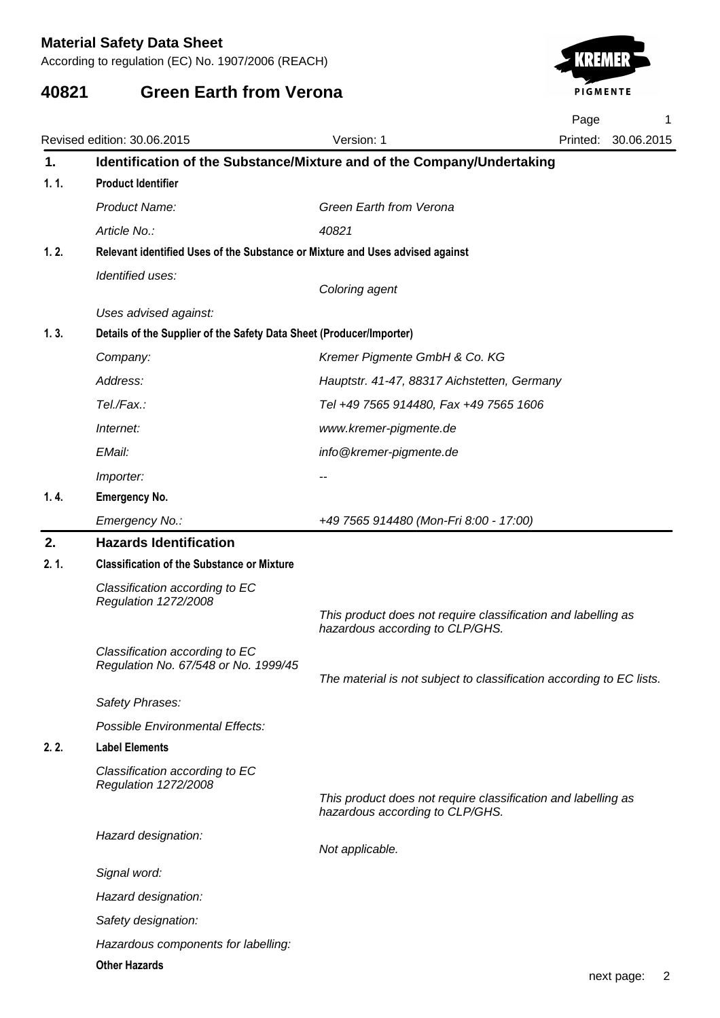According to regulation (EC) No. 1907/2006 (REACH)

# **40821 Green Earth from Verona**



|      |                                                                               |                                                                                                  | Page | 1                   |
|------|-------------------------------------------------------------------------------|--------------------------------------------------------------------------------------------------|------|---------------------|
|      | Revised edition: 30.06.2015                                                   | Version: 1                                                                                       |      | Printed: 30.06.2015 |
| 1.   | Identification of the Substance/Mixture and of the Company/Undertaking        |                                                                                                  |      |                     |
| 1.1. | <b>Product Identifier</b>                                                     |                                                                                                  |      |                     |
|      | Product Name:                                                                 | Green Earth from Verona                                                                          |      |                     |
|      | Article No.:                                                                  | 40821                                                                                            |      |                     |
| 1.2. | Relevant identified Uses of the Substance or Mixture and Uses advised against |                                                                                                  |      |                     |
|      | Identified uses:                                                              | Coloring agent                                                                                   |      |                     |
|      | Uses advised against:                                                         |                                                                                                  |      |                     |
| 1.3. | Details of the Supplier of the Safety Data Sheet (Producer/Importer)          |                                                                                                  |      |                     |
|      | Company:                                                                      | Kremer Pigmente GmbH & Co. KG                                                                    |      |                     |
|      | Address:                                                                      | Hauptstr. 41-47, 88317 Aichstetten, Germany                                                      |      |                     |
|      | Tel./Fax.:                                                                    | Tel +49 7565 914480, Fax +49 7565 1606                                                           |      |                     |
|      | Internet:                                                                     | www.kremer-pigmente.de                                                                           |      |                     |
|      | EMail:                                                                        | info@kremer-pigmente.de                                                                          |      |                     |
|      | Importer:                                                                     | --                                                                                               |      |                     |
| 1.4. | <b>Emergency No.</b>                                                          |                                                                                                  |      |                     |
|      | Emergency No.:                                                                | +49 7565 914480 (Mon-Fri 8:00 - 17:00)                                                           |      |                     |
| 2.   | <b>Hazards Identification</b>                                                 |                                                                                                  |      |                     |
| 2.1. | <b>Classification of the Substance or Mixture</b>                             |                                                                                                  |      |                     |
|      | Classification according to EC<br>Regulation 1272/2008                        | This product does not require classification and labelling as                                    |      |                     |
|      |                                                                               | hazardous according to CLP/GHS.                                                                  |      |                     |
|      | Classification according to EC                                                |                                                                                                  |      |                     |
|      | Regulation No. 67/548 or No. 1999/45                                          | The material is not subject to classification according to EC lists.                             |      |                     |
|      | Safety Phrases:                                                               |                                                                                                  |      |                     |
|      | <b>Possible Environmental Effects:</b>                                        |                                                                                                  |      |                     |
| 2.2. | <b>Label Elements</b>                                                         |                                                                                                  |      |                     |
|      | Classification according to EC<br>Regulation 1272/2008                        |                                                                                                  |      |                     |
|      |                                                                               | This product does not require classification and labelling as<br>hazardous according to CLP/GHS. |      |                     |
|      | Hazard designation:                                                           | Not applicable.                                                                                  |      |                     |
|      | Signal word:                                                                  |                                                                                                  |      |                     |
|      | Hazard designation:                                                           |                                                                                                  |      |                     |
|      | Safety designation:                                                           |                                                                                                  |      |                     |
|      | Hazardous components for labelling:                                           |                                                                                                  |      |                     |
|      | <b>Other Hazards</b>                                                          |                                                                                                  |      |                     |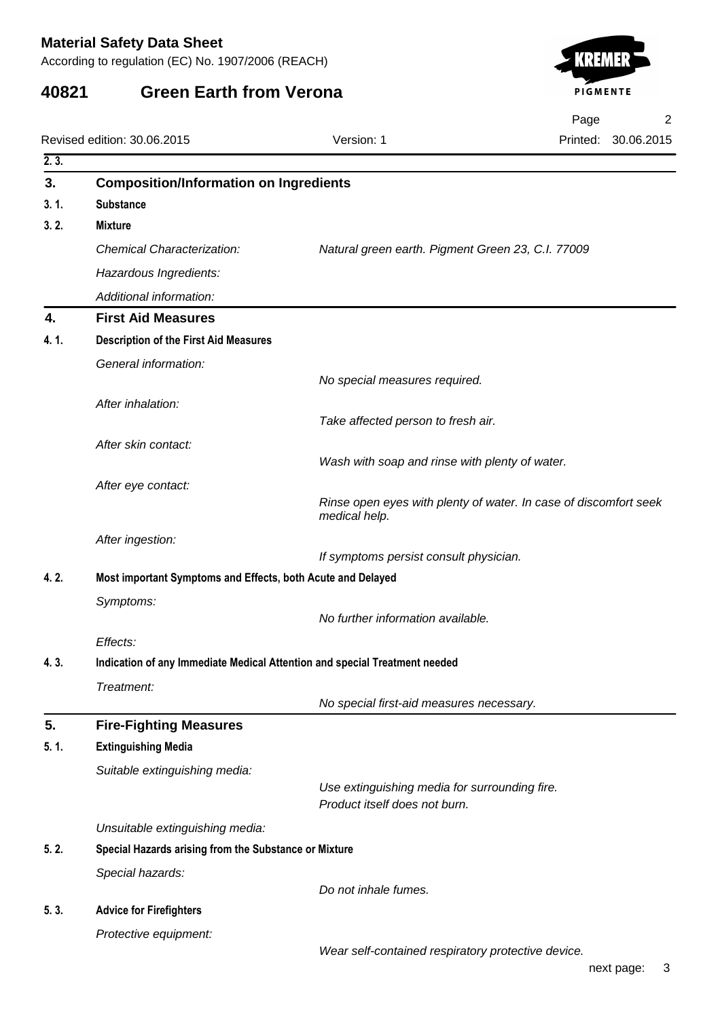According to regulation (EC) No. 1907/2006 (REACH)

## **40821 Green Earth from Verona**



Page 2

|      | Revised edition: 30.06.2015                                                | Version: 1                                         | Printed:<br>30.06.2015                                           |
|------|----------------------------------------------------------------------------|----------------------------------------------------|------------------------------------------------------------------|
| 2.3. |                                                                            |                                                    |                                                                  |
| 3.   | <b>Composition/Information on Ingredients</b>                              |                                                    |                                                                  |
| 3.1. | <b>Substance</b>                                                           |                                                    |                                                                  |
| 3.2. | <b>Mixture</b>                                                             |                                                    |                                                                  |
|      | <b>Chemical Characterization:</b>                                          | Natural green earth. Pigment Green 23, C.I. 77009  |                                                                  |
|      | Hazardous Ingredients:                                                     |                                                    |                                                                  |
|      | Additional information:                                                    |                                                    |                                                                  |
| 4.   | <b>First Aid Measures</b>                                                  |                                                    |                                                                  |
| 4.1. | <b>Description of the First Aid Measures</b>                               |                                                    |                                                                  |
|      | General information:                                                       |                                                    |                                                                  |
|      |                                                                            | No special measures required.                      |                                                                  |
|      | After inhalation:                                                          |                                                    |                                                                  |
|      |                                                                            | Take affected person to fresh air.                 |                                                                  |
|      | After skin contact:                                                        | Wash with soap and rinse with plenty of water.     |                                                                  |
|      |                                                                            |                                                    |                                                                  |
|      | After eye contact:                                                         |                                                    | Rinse open eyes with plenty of water. In case of discomfort seek |
|      |                                                                            | medical help.                                      |                                                                  |
|      | After ingestion:                                                           |                                                    |                                                                  |
|      |                                                                            | If symptoms persist consult physician.             |                                                                  |
| 4.2. | Most important Symptoms and Effects, both Acute and Delayed                |                                                    |                                                                  |
|      | Symptoms:                                                                  | No further information available.                  |                                                                  |
|      | Effects:                                                                   |                                                    |                                                                  |
| 4.3. | Indication of any Immediate Medical Attention and special Treatment needed |                                                    |                                                                  |
|      | Treatment:                                                                 |                                                    |                                                                  |
|      |                                                                            | No special first-aid measures necessary.           |                                                                  |
| 5.   | <b>Fire-Fighting Measures</b>                                              |                                                    |                                                                  |
| 5.1. | <b>Extinguishing Media</b>                                                 |                                                    |                                                                  |
|      | Suitable extinguishing media:                                              |                                                    |                                                                  |
|      |                                                                            | Use extinguishing media for surrounding fire.      |                                                                  |
|      |                                                                            | Product itself does not burn.                      |                                                                  |
|      | Unsuitable extinguishing media:                                            |                                                    |                                                                  |
| 5.2. | Special Hazards arising from the Substance or Mixture                      |                                                    |                                                                  |
|      | Special hazards:                                                           |                                                    |                                                                  |
| 5.3. | <b>Advice for Firefighters</b>                                             | Do not inhale fumes.                               |                                                                  |
|      | Protective equipment:                                                      |                                                    |                                                                  |
|      |                                                                            | Wear self-contained respiratory protective device. |                                                                  |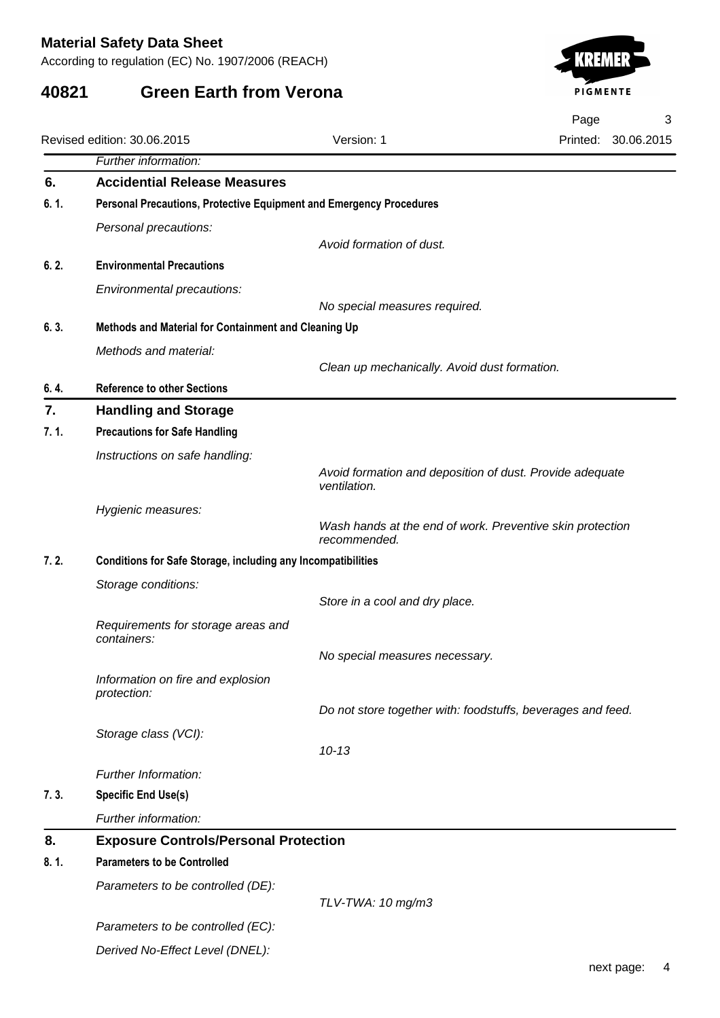According to regulation (EC) No. 1907/2006 (REACH)

## **40821 Green Earth from Verona**



Page 3

|      | Revised edition: 30.06.2015                                         | Version: 1                                                               | 30.06.2015<br>Printed: |
|------|---------------------------------------------------------------------|--------------------------------------------------------------------------|------------------------|
|      | Further information:                                                |                                                                          |                        |
| 6.   | <b>Accidential Release Measures</b>                                 |                                                                          |                        |
| 6.1. | Personal Precautions, Protective Equipment and Emergency Procedures |                                                                          |                        |
|      | Personal precautions:                                               |                                                                          |                        |
|      |                                                                     | Avoid formation of dust.                                                 |                        |
| 6.2. | <b>Environmental Precautions</b>                                    |                                                                          |                        |
|      | Environmental precautions:                                          |                                                                          |                        |
|      |                                                                     | No special measures required.                                            |                        |
| 6.3. | Methods and Material for Containment and Cleaning Up                |                                                                          |                        |
|      | Methods and material:                                               |                                                                          |                        |
|      |                                                                     | Clean up mechanically. Avoid dust formation.                             |                        |
| 6.4. | <b>Reference to other Sections</b>                                  |                                                                          |                        |
| 7.   | <b>Handling and Storage</b>                                         |                                                                          |                        |
| 7.1. | <b>Precautions for Safe Handling</b>                                |                                                                          |                        |
|      | Instructions on safe handling:                                      |                                                                          |                        |
|      |                                                                     | Avoid formation and deposition of dust. Provide adequate<br>ventilation. |                        |
|      | Hygienic measures:                                                  |                                                                          |                        |
|      |                                                                     | Wash hands at the end of work. Preventive skin protection                |                        |
|      |                                                                     | recommended.                                                             |                        |
| 7.2. | <b>Conditions for Safe Storage, including any Incompatibilities</b> |                                                                          |                        |
|      | Storage conditions:                                                 | Store in a cool and dry place.                                           |                        |
|      |                                                                     |                                                                          |                        |
|      | Requirements for storage areas and<br>containers:                   |                                                                          |                        |
|      |                                                                     | No special measures necessary.                                           |                        |
|      | Information on fire and explosion                                   |                                                                          |                        |
|      | protection:                                                         |                                                                          |                        |
|      |                                                                     | Do not store together with: foodstuffs, beverages and feed.              |                        |
|      | Storage class (VCI):                                                | $10 - 13$                                                                |                        |
|      | Further Information:                                                |                                                                          |                        |
| 7.3. | <b>Specific End Use(s)</b>                                          |                                                                          |                        |
|      |                                                                     |                                                                          |                        |
|      | Further information:                                                |                                                                          |                        |
| 8.   | <b>Exposure Controls/Personal Protection</b>                        |                                                                          |                        |
| 8.1. | <b>Parameters to be Controlled</b>                                  |                                                                          |                        |
|      | Parameters to be controlled (DE):                                   | TLV-TWA: 10 mg/m3                                                        |                        |
|      |                                                                     |                                                                          |                        |
|      | Parameters to be controlled (EC):                                   |                                                                          |                        |
|      | Derived No-Effect Level (DNEL):                                     |                                                                          |                        |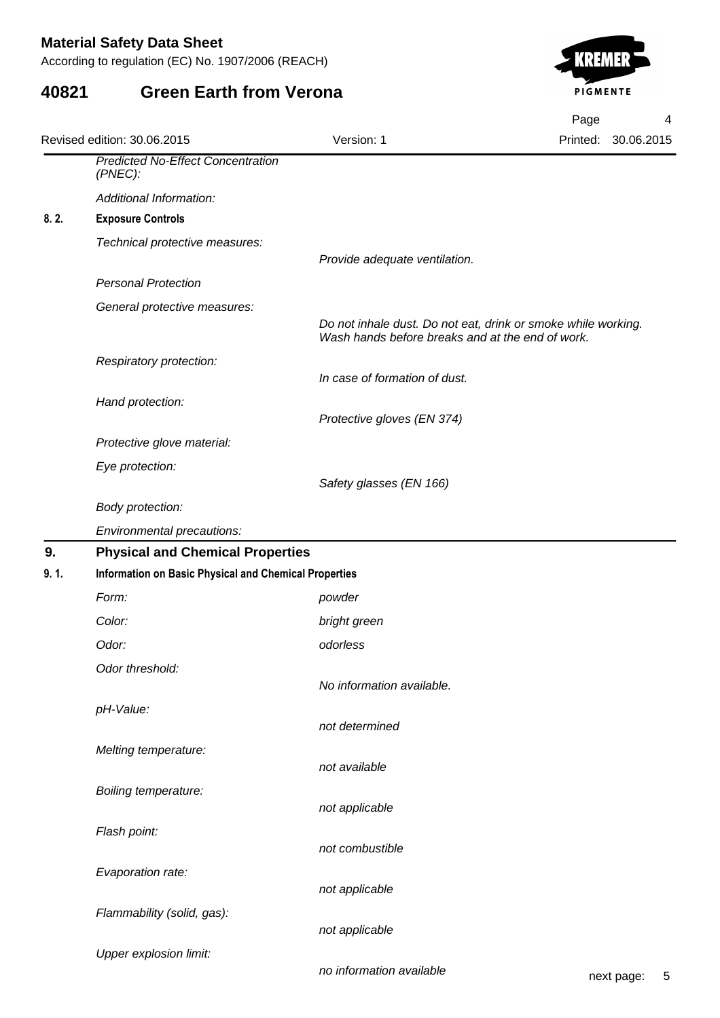According to regulation (EC) No. 1907/2006 (REACH)

### **40821 Green Earth from Verona**



|      |                                                        |                                                                                                                   | Page | 4                   |  |  |
|------|--------------------------------------------------------|-------------------------------------------------------------------------------------------------------------------|------|---------------------|--|--|
|      | Revised edition: 30.06.2015                            | Version: 1                                                                                                        |      | Printed: 30.06.2015 |  |  |
|      | <b>Predicted No-Effect Concentration</b><br>$(PNEC)$ : |                                                                                                                   |      |                     |  |  |
|      | Additional Information:                                |                                                                                                                   |      |                     |  |  |
| 8.2. | <b>Exposure Controls</b>                               |                                                                                                                   |      |                     |  |  |
|      | Technical protective measures:                         | Provide adequate ventilation.                                                                                     |      |                     |  |  |
|      | <b>Personal Protection</b>                             |                                                                                                                   |      |                     |  |  |
|      | General protective measures:                           | Do not inhale dust. Do not eat, drink or smoke while working.<br>Wash hands before breaks and at the end of work. |      |                     |  |  |
|      | Respiratory protection:                                | In case of formation of dust.                                                                                     |      |                     |  |  |
|      | Hand protection:                                       |                                                                                                                   |      |                     |  |  |
|      |                                                        | Protective gloves (EN 374)                                                                                        |      |                     |  |  |
|      | Protective glove material:                             |                                                                                                                   |      |                     |  |  |
|      | Eye protection:                                        | Safety glasses (EN 166)                                                                                           |      |                     |  |  |
|      | Body protection:                                       |                                                                                                                   |      |                     |  |  |
|      | Environmental precautions:                             |                                                                                                                   |      |                     |  |  |
| 9.   | <b>Physical and Chemical Properties</b>                |                                                                                                                   |      |                     |  |  |
| 9.1. |                                                        | <b>Information on Basic Physical and Chemical Properties</b>                                                      |      |                     |  |  |
|      | Form:                                                  | powder                                                                                                            |      |                     |  |  |
|      | Color:                                                 | bright green                                                                                                      |      |                     |  |  |
|      | Odor:                                                  | odorless                                                                                                          |      |                     |  |  |
|      | Odor threshold:                                        | No information available.                                                                                         |      |                     |  |  |
|      | pH-Value:                                              | not determined                                                                                                    |      |                     |  |  |
|      | Melting temperature:                                   | not available                                                                                                     |      |                     |  |  |
|      | <b>Boiling temperature:</b>                            | not applicable                                                                                                    |      |                     |  |  |
|      | Flash point:                                           | not combustible                                                                                                   |      |                     |  |  |
|      | Evaporation rate:                                      | not applicable                                                                                                    |      |                     |  |  |
|      | Flammability (solid, gas):                             | not applicable                                                                                                    |      |                     |  |  |
|      | <b>Upper explosion limit:</b>                          |                                                                                                                   |      |                     |  |  |

no information available next page: 5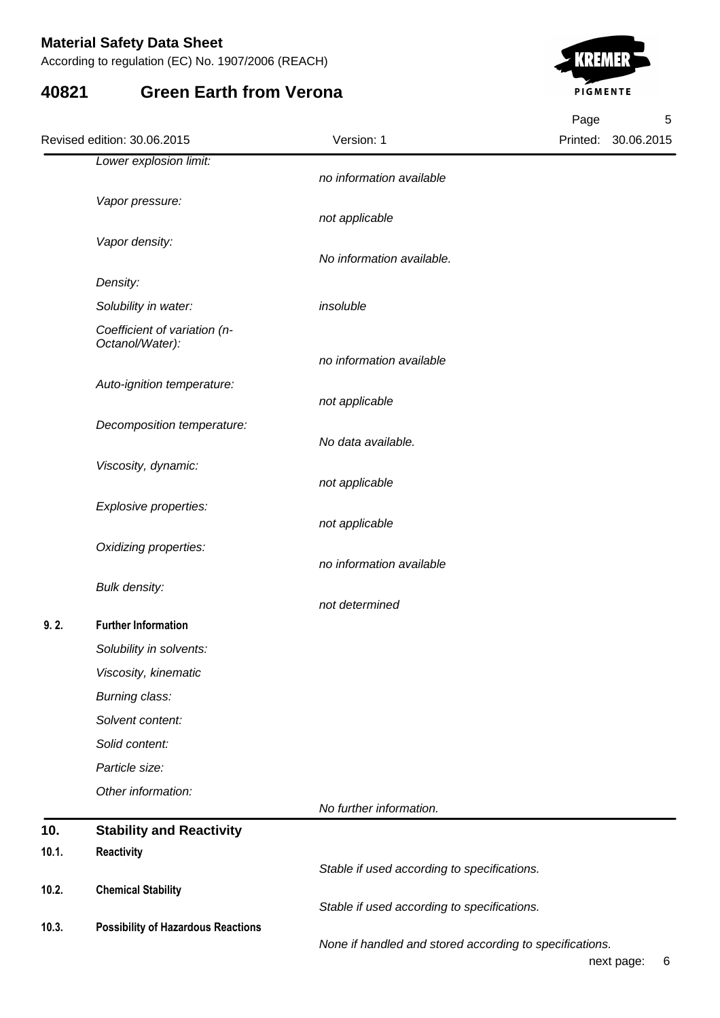According to regulation (EC) No. 1907/2006 (REACH)

#### **40821 Green Earth from Verona**



Printed: 30.06.2015 Page 5 Revised edition: 30.06.2015 Version: 1 Lower explosion limit: no information available Vapor pressure: not applicable Vapor density: No information available. Density: Solubility in water: insoluble Coefficient of variation (n-Octanol/Water): no information available Auto-ignition temperature: not applicable Decomposition temperature: No data available. Viscosity, dynamic: not applicable Explosive properties: not applicable Oxidizing properties: no information available Bulk density: not determined  **9. 2. Further Information** Solubility in solvents: Viscosity, kinematic Burning class: Solvent content: Solid content: Particle size: Other information: No further information. **10. Stability and Reactivity 10.1. Reactivity** Stable if used according to specifications. **10.2. Chemical Stability** Stable if used according to specifications. **10.3. Possibility of Hazardous Reactions** None if handled and stored according to specifications.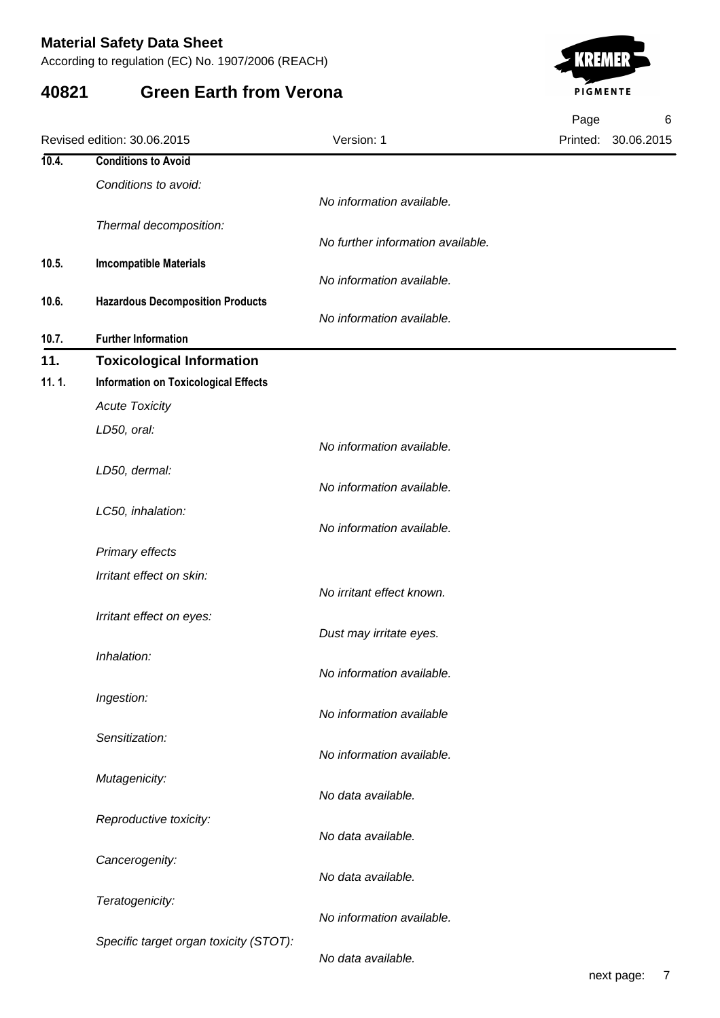According to regulation (EC) No. 1907/2006 (REACH)

## **40821 Green Earth from Verona**



|       |                                             |                                   | Page | 6                   |
|-------|---------------------------------------------|-----------------------------------|------|---------------------|
|       | Revised edition: 30.06.2015                 | Version: 1                        |      | Printed: 30.06.2015 |
| 10.4. | <b>Conditions to Avoid</b>                  |                                   |      |                     |
|       | Conditions to avoid:                        |                                   |      |                     |
|       |                                             | No information available.         |      |                     |
|       | Thermal decomposition:                      |                                   |      |                     |
|       |                                             | No further information available. |      |                     |
| 10.5. | <b>Imcompatible Materials</b>               | No information available.         |      |                     |
| 10.6. | <b>Hazardous Decomposition Products</b>     |                                   |      |                     |
|       |                                             | No information available.         |      |                     |
| 10.7. | <b>Further Information</b>                  |                                   |      |                     |
| 11.   | <b>Toxicological Information</b>            |                                   |      |                     |
| 11.1. | <b>Information on Toxicological Effects</b> |                                   |      |                     |
|       | <b>Acute Toxicity</b>                       |                                   |      |                     |
|       | LD50, oral:                                 |                                   |      |                     |
|       |                                             | No information available.         |      |                     |
|       | LD50, dermal:                               |                                   |      |                     |
|       |                                             | No information available.         |      |                     |
|       | LC50, inhalation:                           | No information available.         |      |                     |
|       |                                             |                                   |      |                     |
|       | Primary effects                             |                                   |      |                     |
|       | Irritant effect on skin:                    | No irritant effect known.         |      |                     |
|       | Irritant effect on eyes:                    |                                   |      |                     |
|       |                                             | Dust may irritate eyes.           |      |                     |
|       | Inhalation:                                 |                                   |      |                     |
|       |                                             | No information available.         |      |                     |
|       | Ingestion:                                  |                                   |      |                     |
|       |                                             | No information available          |      |                     |
|       | Sensitization:                              |                                   |      |                     |
|       |                                             | No information available.         |      |                     |
|       | Mutagenicity:                               | No data available.                |      |                     |
|       |                                             |                                   |      |                     |
|       | Reproductive toxicity:                      | No data available.                |      |                     |
|       | Cancerogenity:                              |                                   |      |                     |
|       |                                             | No data available.                |      |                     |
|       | Teratogenicity:                             |                                   |      |                     |
|       |                                             | No information available.         |      |                     |
|       | Specific target organ toxicity (STOT):      |                                   |      |                     |
|       |                                             | No data available.                |      |                     |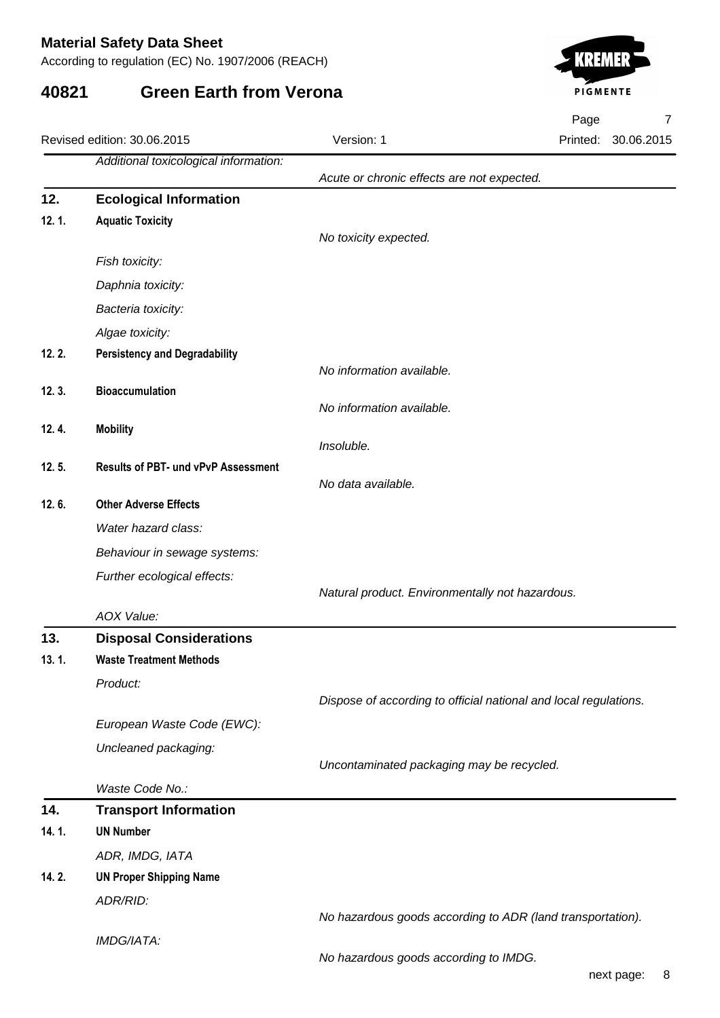According to regulation (EC) No. 1907/2006 (REACH)

## **40821 Green Earth from Verona**



Page 7

|       | Revised edition: 30.06.2015                                      | Version: 1                                      | Printed:<br>30.06.2015                                           |
|-------|------------------------------------------------------------------|-------------------------------------------------|------------------------------------------------------------------|
|       | Additional toxicological information:                            |                                                 |                                                                  |
|       |                                                                  | Acute or chronic effects are not expected.      |                                                                  |
| 12.   | <b>Ecological Information</b>                                    |                                                 |                                                                  |
| 12.1. | <b>Aquatic Toxicity</b>                                          | No toxicity expected.                           |                                                                  |
|       | Fish toxicity:                                                   |                                                 |                                                                  |
|       |                                                                  |                                                 |                                                                  |
|       | Daphnia toxicity:                                                |                                                 |                                                                  |
|       | Bacteria toxicity:                                               |                                                 |                                                                  |
|       | Algae toxicity:                                                  |                                                 |                                                                  |
| 12.2. | <b>Persistency and Degradability</b>                             | No information available.                       |                                                                  |
| 12.3. | <b>Bioaccumulation</b>                                           |                                                 |                                                                  |
|       |                                                                  | No information available.                       |                                                                  |
| 12.4. | <b>Mobility</b>                                                  |                                                 |                                                                  |
|       |                                                                  | Insoluble.                                      |                                                                  |
| 12.5. | <b>Results of PBT- und vPvP Assessment</b>                       |                                                 |                                                                  |
| 12.6. | <b>Other Adverse Effects</b>                                     | No data available.                              |                                                                  |
|       |                                                                  |                                                 |                                                                  |
|       | Water hazard class:                                              |                                                 |                                                                  |
|       | Behaviour in sewage systems:                                     |                                                 |                                                                  |
|       | Further ecological effects:                                      | Natural product. Environmentally not hazardous. |                                                                  |
|       |                                                                  |                                                 |                                                                  |
| 13.   | AOX Value:                                                       |                                                 |                                                                  |
| 13.1. | <b>Disposal Considerations</b><br><b>Waste Treatment Methods</b> |                                                 |                                                                  |
|       |                                                                  |                                                 |                                                                  |
|       | Product:                                                         |                                                 | Dispose of according to official national and local regulations. |
|       | European Waste Code (EWC):                                       |                                                 |                                                                  |
|       | Uncleaned packaging:                                             |                                                 |                                                                  |
|       |                                                                  | Uncontaminated packaging may be recycled.       |                                                                  |
|       | Waste Code No.:                                                  |                                                 |                                                                  |
| 14.   | <b>Transport Information</b>                                     |                                                 |                                                                  |
| 14.1. | <b>UN Number</b>                                                 |                                                 |                                                                  |
|       | ADR, IMDG, IATA                                                  |                                                 |                                                                  |
| 14.2. | <b>UN Proper Shipping Name</b>                                   |                                                 |                                                                  |
|       | ADR/RID:                                                         |                                                 |                                                                  |
|       |                                                                  |                                                 | No hazardous goods according to ADR (land transportation).       |
|       | IMDG/IATA:                                                       |                                                 |                                                                  |
|       |                                                                  | No hazardous goods according to IMDG.           |                                                                  |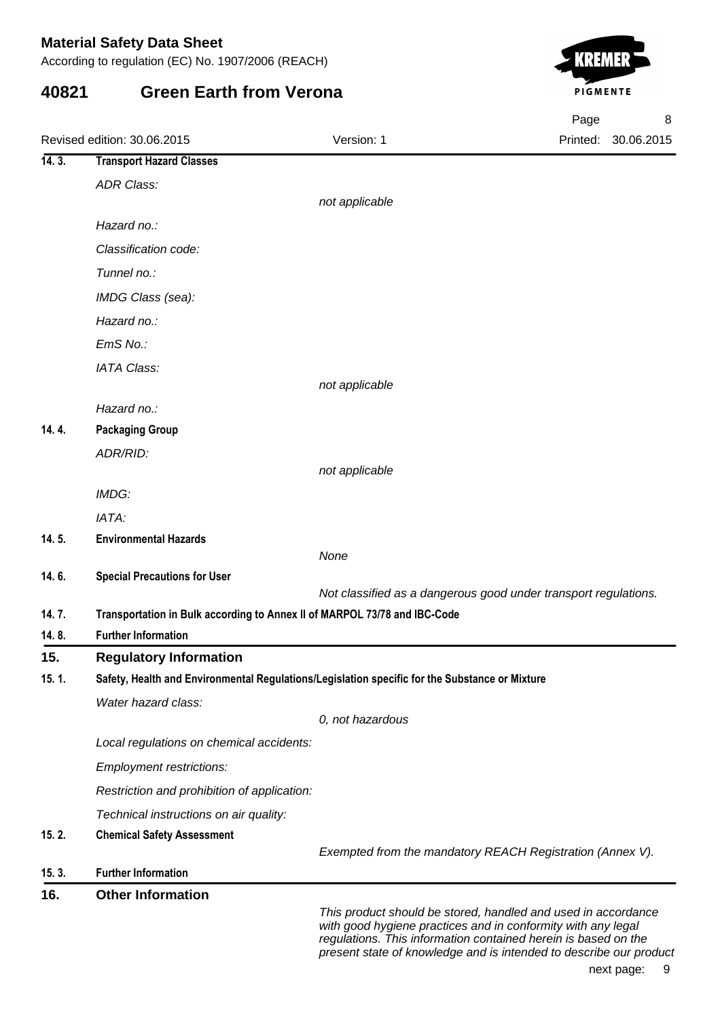According to regulation (EC) No. 1907/2006 (REACH)

## **40821 Green Earth from Verona**



|       |                                                                                                |                                                                                                                                                                                                  | Page     | 8          |
|-------|------------------------------------------------------------------------------------------------|--------------------------------------------------------------------------------------------------------------------------------------------------------------------------------------------------|----------|------------|
|       | Revised edition: 30.06.2015                                                                    | Version: 1                                                                                                                                                                                       | Printed: | 30.06.2015 |
| 14.3. | <b>Transport Hazard Classes</b>                                                                |                                                                                                                                                                                                  |          |            |
|       | <b>ADR Class:</b>                                                                              |                                                                                                                                                                                                  |          |            |
|       |                                                                                                | not applicable                                                                                                                                                                                   |          |            |
|       | Hazard no.:                                                                                    |                                                                                                                                                                                                  |          |            |
|       | Classification code:                                                                           |                                                                                                                                                                                                  |          |            |
|       | Tunnel no.:                                                                                    |                                                                                                                                                                                                  |          |            |
|       | IMDG Class (sea):                                                                              |                                                                                                                                                                                                  |          |            |
|       | Hazard no.:                                                                                    |                                                                                                                                                                                                  |          |            |
|       | EmS No.:                                                                                       |                                                                                                                                                                                                  |          |            |
|       | <b>IATA Class:</b>                                                                             |                                                                                                                                                                                                  |          |            |
|       |                                                                                                | not applicable                                                                                                                                                                                   |          |            |
|       | Hazard no.:                                                                                    |                                                                                                                                                                                                  |          |            |
| 14.4. | <b>Packaging Group</b>                                                                         |                                                                                                                                                                                                  |          |            |
|       | ADR/RID:                                                                                       |                                                                                                                                                                                                  |          |            |
|       |                                                                                                | not applicable                                                                                                                                                                                   |          |            |
|       | IMDG:                                                                                          |                                                                                                                                                                                                  |          |            |
|       | IATA:                                                                                          |                                                                                                                                                                                                  |          |            |
| 14.5. | <b>Environmental Hazards</b>                                                                   |                                                                                                                                                                                                  |          |            |
| 14.6. |                                                                                                | None                                                                                                                                                                                             |          |            |
|       | <b>Special Precautions for User</b>                                                            | Not classified as a dangerous good under transport regulations.                                                                                                                                  |          |            |
| 14.7. | Transportation in Bulk according to Annex II of MARPOL 73/78 and IBC-Code                      |                                                                                                                                                                                                  |          |            |
| 14.8. | <b>Further Information</b>                                                                     |                                                                                                                                                                                                  |          |            |
| 15.   | <b>Regulatory Information</b>                                                                  |                                                                                                                                                                                                  |          |            |
| 15.1. | Safety, Health and Environmental Regulations/Legislation specific for the Substance or Mixture |                                                                                                                                                                                                  |          |            |
|       | Water hazard class:                                                                            |                                                                                                                                                                                                  |          |            |
|       |                                                                                                | 0, not hazardous                                                                                                                                                                                 |          |            |
|       | Local regulations on chemical accidents:                                                       |                                                                                                                                                                                                  |          |            |
|       | <b>Employment restrictions:</b>                                                                |                                                                                                                                                                                                  |          |            |
|       | Restriction and prohibition of application:                                                    |                                                                                                                                                                                                  |          |            |
|       | Technical instructions on air quality:                                                         |                                                                                                                                                                                                  |          |            |
| 15.2. | <b>Chemical Safety Assessment</b>                                                              |                                                                                                                                                                                                  |          |            |
|       |                                                                                                | Exempted from the mandatory REACH Registration (Annex V).                                                                                                                                        |          |            |
| 15.3. | <b>Further Information</b>                                                                     |                                                                                                                                                                                                  |          |            |
| 16.   | <b>Other Information</b>                                                                       |                                                                                                                                                                                                  |          |            |
|       |                                                                                                | This product should be stored, handled and used in accordance<br>with good hygiene practices and in conformity with any legal<br>requilations. This information contained herein is based on the |          |            |

regulations. This information contained herein is a present state of knowledge and is intended to describe our product